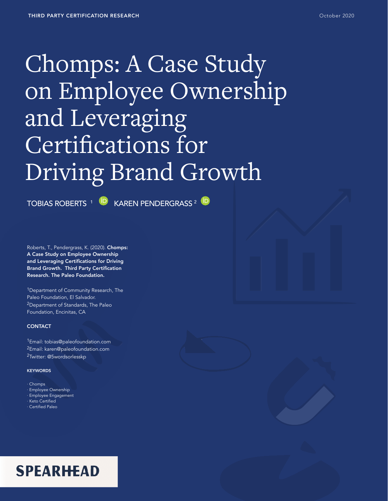# Chomps: A Case Study on Employee Ownership and Leveraging Certifications for Driving Brand Growth

TOBIAS ROBERTS <sup>1 (D</sup> KAREN PENDERGRASS<sup>2 (D</sup>

Roberts, T., Pendergrass, K. (2020). Chomps: A Case Study on Employee Ownership and Leveraging Certifications for Driving Brand Growth. Third Party Certification Research. The Paleo Foundation.

<sup>1</sup>Department of Community Research, The Paleo Foundation, El Salvador. 2Department of Standards, The Paleo Foundation, Encinitas, CA

#### **CONTACT**

1Email: tobias@paleofoundation.com <sup>2</sup>Email: karen@paleofoundation.com <sup>2</sup>Twitter: @5wordsorlesskp

#### **KEYWORDS**

· Chomps

- · Employee Ownership
- · Employee Engagement
- · Keto Certified
- · Certified Paleo

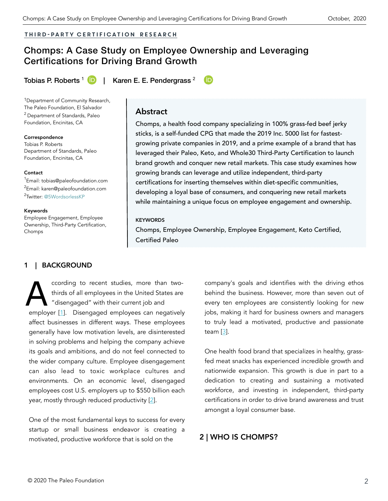#### Third-party certification RESEARCH

# Chomps: A Case Study on Employee Ownership and Leveraging Certifications for Driving Brand Growth

Tobias P. Roberts <sup>1</sup> **[ID](https://orcid.org/0000-0003-4364-3279) I** Karen E. E. Pendergrass <sup>2</sup>

1Department of Community Research, The Paleo Foundation, El Salvador 2 Department of Standards, Paleo Foundation, Encinitas, CA

Correspondence Tobias P. Roberts Department of Standards, Paleo Foundation, Encinitas, CA

#### **Contact**

<sup>1</sup> Email: [tobias@paleofoundation.com](mailto:tobias@paleofoundation.com) <sup>2</sup>Email: karen@paleofoundation.com <sup>2</sup>Twitter: @5WordsorlessKP

Keywords

Employee Engagement, Employee Ownership, Third-Party Certification, Chomps

## **Abstract**

Chomps, a health food company specializing in 100% grass-fed beef jerky sticks, is a self-funded CPG that made the 2019 Inc. 5000 list for fastestgrowing private companies in 2019, and a prime example of a brand that has leveraged their Paleo, Keto, and Whole30 Third-Party Certification to launch brand growth and conquer new retail markets. This case study examines how growing brands can leverage and utilize independent, third-party certifications for inserting themselves within diet-specific communities, developing a loyal base of consumers, and conquering new retail markets while maintaining a unique focus on employee engagement and ownership.

#### **KEYWORDS**

Chomps, Employee Ownership, Employee Engagement, Keto Certified, Certified Paleo

#### **1 | BACKGROUND**

ccording to recent studies, more than two-<br>thirds of all employees in the United States are<br>"disengaged" with their current job and thirds of all employees in the United States are "disengaged" with their current job and employer [[1](#page-7-0)]. Disengaged employees can negatively affect businesses in different ways. These employees generally have low motivation levels, are disinterested in solving problems and helping the company achieve its goals and ambitions, and do not feel connected to the wider company culture. Employee disengagement can also lead to toxic workplace cultures and environments. On an economic level, disengaged employees cost U.S. employers up to \$550 billion each year, mostly through reduced productivity [[2](#page-7-0)].

One of the most fundamental keys to success for every startup or small business endeavor is creating a motivated, productive workforce that is sold on the

company's goals and identifies with the driving ethos behind the business. However, more than seven out of every ten employees are consistently looking for new jobs, making it hard for business owners and managers to truly lead a motivated, productive and passionate team [\[3\]](#page-7-0).

One health food brand that specializes in healthy, grassfed meat snacks has experienced incredible growth and nationwide expansion. This growth is due in part to a dedication to creating and sustaining a motivated workforce, and investing in independent, third-party certifications in order to drive brand awareness and trust amongst a loyal consumer base.

#### 2 | WHO IS CHOMPS?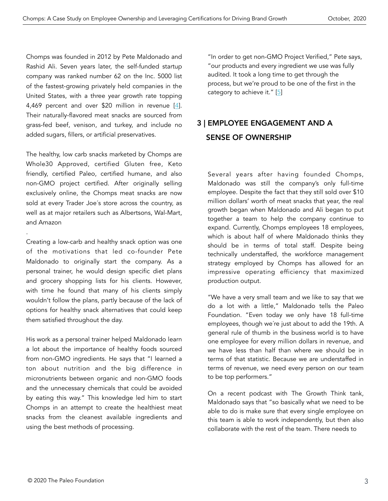Chomps was founded in 2012 by Pete Maldonado and Rashid Ali. Seven years later, the self-funded startup company was ranked number 62 on the Inc. 5000 list of the fastest-growing privately held companies in the United States, with a three year growth rate topping 4,469 percent and over \$20 million in revenue [\[4](#page-7-0)]. Their naturally-flavored meat snacks are sourced from grass-fed beef, venison, and turkey, and include no added sugars, fillers, or artificial preservatives.

The healthy, low carb snacks marketed by Chomps are Whole30 Approved, certified Gluten free, Keto friendly, certified Paleo, certified humane, and also non-GMO project certified. After originally selling exclusively online, the Chomps meat snacks are now sold at every Trader Joe´s store across the country, as well as at major retailers such as Albertsons, Wal-Mart, and Amazon

.

Creating a low-carb and healthy snack option was one of the motivations that led co-founder Pete Maldonado to originally start the company. As a personal trainer, he would design specific diet plans and grocery shopping lists for his clients. However, with time he found that many of his clients simply wouldn't follow the plans, partly because of the lack of options for healthy snack alternatives that could keep them satisfied throughout the day.

His work as a personal trainer helped Maldonado learn a lot about the importance of healthy foods sourced from non-GMO ingredients. He says that "I learned a ton about nutrition and the big difference in micronutrients between organic and non-GMO foods and the unnecessary chemicals that could be avoided by eating this way." This knowledge led him to start Chomps in an attempt to create the healthiest meat snacks from the cleanest available ingredients and using the best methods of processing.

"In order to get non-GMO Project Verified," Pete says, "our products and every ingredient we use was fully audited. It took a long time to get through the process, but we're proud to be one of the first in the category to achieve it." [[5](#page-7-0)]

# 3 | EMPLOYEE ENGAGEMENT AND A SENSE OF OWNERSHIP

Several years after having founded Chomps, Maldonado was still the company's only full-time employee. Despite the fact that they still sold over \$10 million dollars' worth of meat snacks that year, the real growth began when Maldonado and Ali began to put together a team to help the company continue to expand. Currently, Chomps employees 18 employees, which is about half of where Maldonado thinks they should be in terms of total staff. Despite being technically understaffed, the workforce management strategy employed by Chomps has allowed for an impressive operating efficiency that maximized production output.

"We have a very small team and we like to say that we do a lot with a little," Maldonado tells the Paleo Foundation. "Even today we only have 18 full-time employees, though we´re just about to add the 19th. A general rule of thumb in the business world is to have one employee for every million dollars in revenue, and we have less than half than where we should be in terms of that statistic. Because we are understaffed in terms of revenue, we need every person on our team to be top performers."

On a recent podcast with The Growth Think tank, Maldonado says that "so basically what we need to be able to do is make sure that every single employee on this team is able to work independently, but then also collaborate with the rest of the team. There needs to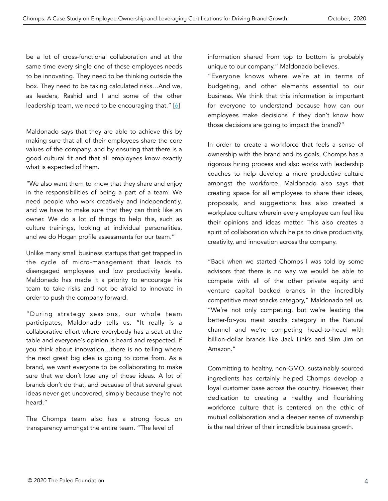be a lot of cross-functional collaboration and at the same time every single one of these employees needs to be innovating. They need to be thinking outside the box. They need to be taking calculated risks…And we, as leaders, Rashid and I and some of the other leadership team, we need to be encouraging that." [[6](#page-8-0)]

Maldonado says that they are able to achieve this by making sure that all of their employees share the core values of the company, and by ensuring that there is a good cultural fit and that all employees know exactly what is expected of them.

"We also want them to know that they share and enjoy in the responsibilities of being a part of a team. We need people who work creatively and independently, and we have to make sure that they can think like an owner. We do a lot of things to help this, such as culture trainings, looking at individual personalities, and we do Hogan profile assessments for our team."

Unlike many small business startups that get trapped in the cycle of micro-management that leads to disengaged employees and low productivity levels, Maldonado has made it a priority to encourage his team to take risks and not be afraid to innovate in order to push the company forward.

"During strategy sessions, our whole team participates, Maldonado tells us. "It really is a collaborative effort where everybody has a seat at the table and everyone´s opinion is heard and respected. If you think about innovation…there is no telling where the next great big idea is going to come from. As a brand, we want everyone to be collaborating to make sure that we don´t lose any of those ideas. A lot of brands don't do that, and because of that several great ideas never get uncovered, simply because they're not heard."

The Chomps team also has a strong focus on transparency amongst the entire team. "The level of

information shared from top to bottom is probably unique to our company," Maldonado believes.

"Everyone knows where we´re at in terms of budgeting, and other elements essential to our business. We think that this information is important for everyone to understand because how can our employees make decisions if they don't know how those decisions are going to impact the brand?"

In order to create a workforce that feels a sense of ownership with the brand and its goals, Chomps has a rigorous hiring process and also works with leadership coaches to help develop a more productive culture amongst the workforce. Maldonado also says that creating space for all employees to share their ideas, proposals, and suggestions has also created a workplace culture wherein every employee can feel like their opinions and ideas matter. This also creates a spirit of collaboration which helps to drive productivity, creativity, and innovation across the company.

"Back when we started Chomps I was told by some advisors that there is no way we would be able to compete with all of the other private equity and venture capital backed brands in the incredibly competitive meat snacks category," Maldonado tell us. "We're not only competing, but we're leading the better-for-you meat snacks category in the Natural channel and we're competing head-to-head with billion-dollar brands like Jack Link's and Slim Jim on Amazon."

Committing to healthy, non-GMO, sustainably sourced ingredients has certainly helped Chomps develop a loyal customer base across the country. However, their dedication to creating a healthy and flourishing workforce culture that is centered on the ethic of mutual collaboration and a deeper sense of ownership is the real driver of their incredible business growth.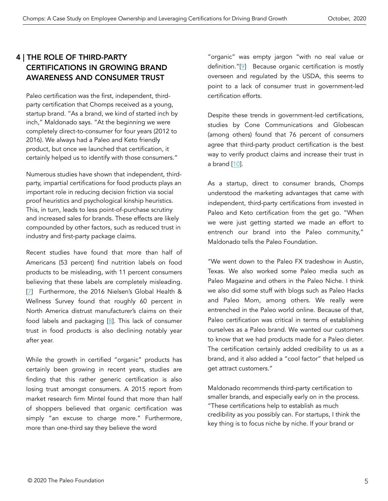## 4 | THE ROLE OF THIRD-PARTY CERTIFICATIONS IN GROWING BRAND AWARENESS AND CONSUMER TRUST

Paleo certification was the first, independent, thirdparty certification that Chomps received as a young, startup brand. "As a brand, we kind of started inch by inch," Maldonado says. "At the beginning we were completely direct-to-consumer for four years (2012 to 2016). We always had a Paleo and Keto friendly product, but once we launched that certification, it certainly helped us to identify with those consumers."

Numerous studies have shown that independent, thirdparty, impartial certifications for food products plays an important role in reducing decision friction via social proof heuristics and psychological kinship heuristics. This, in turn, leads to less point-of-purchase scrutiny and increased sales for brands. These effects are likely compounded by other factors, such as reduced trust in industry and first-party package claims.

Recent studies have found that more than half of Americans (53 percent) find nutrition labels on food products to be misleading, with 11 percent consumers believing that these labels are completely misleading. [[7](#page-8-0)] Furthermore, the 2016 Nielsen's Global Health & Wellness Survey found that roughly 60 percent in North America distrust manufacturer's claims on their food labels and packaging [\[8\]](#page-8-0). This lack of consumer trust in food products is also declining notably year after year.

While the growth in certified "organic" products has certainly been growing in recent years, studies are finding that this rather generic certification is also losing trust amongst consumers. A 2015 report from market research firm Mintel found that more than half of shoppers believed that organic certification was simply "an excuse to charge more." Furthermore, more than one-third say they believe the word

"organic" was empty jargon "with no real value or definition."[[9](#page-8-0)] Because organic certification is mostly overseen and regulated by the USDA, this seems to point to a lack of consumer trust in government-led certification efforts.

Despite these trends in government-led certifications, studies by Cone Communications and Globescan (among others) found that 76 percent of consumers agree that third-party product certification is the best way to verify product claims and increase their trust in a brand [[10\]](#page-8-0).

As a startup, direct to consumer brands, Chomps understood the marketing advantages that came with independent, third-party certifications from invested in Paleo and Keto certification from the get go. "When we were just getting started we made an effort to entrench our brand into the Paleo community," Maldonado tells the Paleo Foundation.

"We went down to the Paleo FX tradeshow in Austin, Texas. We also worked some Paleo media such as Paleo Magazine and others in the Paleo Niche. I think we also did some stuff with blogs such as Paleo Hacks and Paleo Mom, among others. We really were entrenched in the Paleo world online. Because of that, Paleo certification was critical in terms of establishing ourselves as a Paleo brand. We wanted our customers to know that we had products made for a Paleo dieter. The certification certainly added credibility to us as a brand, and it also added a "cool factor" that helped us get attract customers."

Maldonado recommends third-party certification to smaller brands, and especially early on in the process. "These certifications help to establish as much credibility as you possibly can. For startups, I think the key thing is to focus niche by niche. If your brand or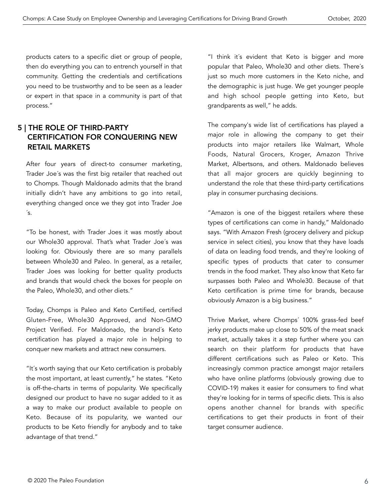products caters to a specific diet or group of people, then do everything you can to entrench yourself in that community. Getting the credentials and certifications you need to be trustworthy and to be seen as a leader or expert in that space in a community is part of that process."

## 5 | THE ROLE OF THIRD-PARTY CERTIFICATION FOR CONQUERING NEW RETAIL MARKETS

After four years of direct-to consumer marketing, Trader Joe´s was the first big retailer that reached out to Chomps. Though Maldonado admits that the brand initially didn't have any ambitions to go into retail, everything changed once we they got into Trader Joe  $\mathsf{S}$ .

"To be honest, with Trader Joes it was mostly about our Whole30 approval. That's what Trader Joe´s was looking for. Obviously there are so many parallels between Whole30 and Paleo. In general, as a retailer, Trader Joes was looking for better quality products and brands that would check the boxes for people on the Paleo, Whole30, and other diets."

Today, Chomps is Paleo and Keto Certified, certified Gluten-Free, Whole30 Approved, and Non-GMO Project Verified. For Maldonado, the brand´s Keto certification has played a major role in helping to conquer new markets and attract new consumers.

"It´s worth saying that our Keto certification is probably the most important, at least currently," he states. "Keto is off-the-charts in terms of popularity. We specifically designed our product to have no sugar added to it as a way to make our product available to people on Keto. Because of its popularity, we wanted our products to be Keto friendly for anybody and to take advantage of that trend."

"I think it´s evident that Keto is bigger and more popular that Paleo, Whole30 and other diets. There´s just so much more customers in the Keto niche, and the demographic is just huge. We get younger people and high school people getting into Keto, but grandparents as well," he adds.

The company's wide list of certifications has played a major role in allowing the company to get their products into major retailers like Walmart, Whole Foods, Natural Grocers, Kroger, Amazon Thrive Market, Albertsons, and others. Maldonado believes that all major grocers are quickly beginning to understand the role that these third-party certifications play in consumer purchasing decisions.

"Amazon is one of the biggest retailers where these types of certifications can come in handy," Maldonado says. "With Amazon Fresh (grocery delivery and pickup service in select cities), you know that they have loads of data on leading food trends, and they're looking of specific types of products that cater to consumer trends in the food market. They also know that Keto far surpasses both Paleo and Whole30. Because of that Keto certification is prime time for brands, because obviously Amazon is a big business."

Thrive Market, where Chomps´ 100% grass-fed beef jerky products make up close to 50% of the meat snack market, actually takes it a step further where you can search on their platform for products that have different certifications such as Paleo or Keto. This increasingly common practice amongst major retailers who have online platforms (obviously growing due to COVID-19) makes it easier for consumers to find what they're looking for in terms of specific diets. This is also opens another channel for brands with specific certifications to get their products in front of their target consumer audience.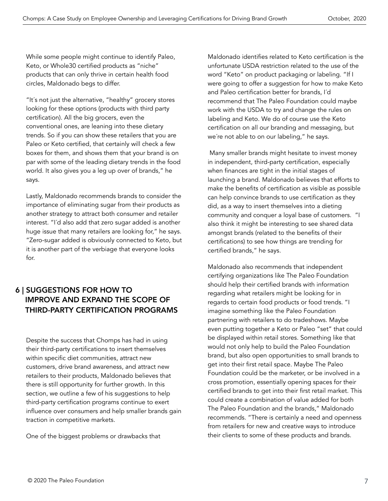While some people might continue to identify Paleo, Keto, or Whole30 certified products as "niche" products that can only thrive in certain health food circles, Maldonado begs to differ.

"It´s not just the alternative, "healthy" grocery stores looking for these options (products with third party certification). All the big grocers, even the conventional ones, are leaning into these dietary trends. So if you can show these retailers that you are Paleo or Keto certified, that certainly will check a few boxes for them, and shows them that your brand is on par with some of the leading dietary trends in the food world. It also gives you a leg up over of brands," he says.

Lastly, Maldonado recommends brands to consider the importance of eliminating sugar from their products as another strategy to attract both consumer and retailer interest. "I´d also add that zero sugar added is another huge issue that many retailers are looking for," he says. "Zero-sugar added is obviously connected to Keto, but it is another part of the verbiage that everyone looks for.

## 6 | SUGGESTIONS FOR HOW TO IMPROVE AND EXPAND THE SCOPE OF THIRD-PARTY CERTIFICATION PROGRAMS

Despite the success that Chomps has had in using their third-party certifications to insert themselves within specific diet communities, attract new customers, drive brand awareness, and attract new retailers to their products, Maldonado believes that there is still opportunity for further growth. In this section, we outline a few of his suggestions to help third-party certification programs continue to exert influence over consumers and help smaller brands gain traction in competitive markets.

One of the biggest problems or drawbacks that

Maldonado identifies related to Keto certification is the unfortunate USDA restriction related to the use of the word "Keto" on product packaging or labeling. "If I were going to offer a suggestion for how to make Keto and Paleo certification better for brands, I´d recommend that The Paleo Foundation could maybe work with the USDA to try and change the rules on labeling and Keto. We do of course use the Keto certification on all our branding and messaging, but we´re not able to on our labeling," he says.

 Many smaller brands might hesitate to invest money in independent, third-party certification, especially when finances are tight in the initial stages of launching a brand. Maldonado believes that efforts to make the benefits of certification as visible as possible can help convince brands to use certification as they did, as a way to insert themselves into a dieting community and conquer a loyal base of customers. "I also think it might be interesting to see shared data amongst brands (related to the benefits of their certifications) to see how things are trending for certified brands," he says.

Maldonado also recommends that independent certifying organizations like The Paleo Foundation should help their certified brands with information regarding what retailers might be looking for in regards to certain food products or food trends. "I imagine something like the Paleo Foundation partnering with retailers to do tradeshows. Maybe even putting together a Keto or Paleo "set" that could be displayed within retail stores. Something like that would not only help to build the Paleo Foundation brand, but also open opportunities to small brands to get into their first retail space. Maybe The Paleo Foundation could be the marketer, or be involved in a cross promotion, essentially opening spaces for their certified brands to get into their first retail market. This could create a combination of value added for both The Paleo Foundation and the brands," Maldonado recommends. "There is certainly a need and openness from retailers for new and creative ways to introduce their clients to some of these products and brands.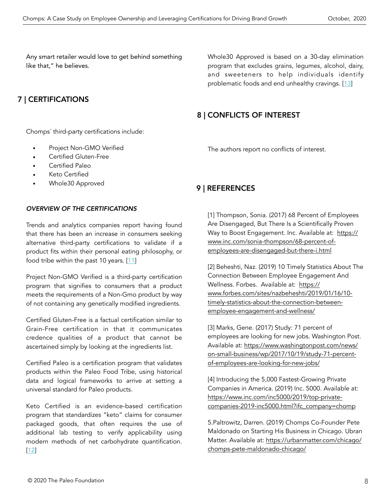<span id="page-7-0"></span>Any smart retailer would love to get behind something like that," he believes.

## 7 | CERTIFICATIONS

Chomps´ third-party certifications include:

- Project Non-GMO Verified
- Certified Gluten-Free
- Certified Paleo
- Keto Certified
- Whole30 Approved

#### *OVERVIEW OF THE CERTIFICATIONS*

Trends and analytics companies report having found that there has been an increase in consumers seeking alternative third-party certifications to validate if a product fits within their personal eating philosophy, or food tribe within the past 10 years. [[11\]](#page-8-0)

Project Non-GMO Verified is a third-party certification program that signifies to consumers that a product meets the requirements of a Non-Gmo product by way of not containing any genetically modified ingredients.

Certified Gluten-Free is a factual certification similar to Grain-Free certification in that it communicates credence qualities of a product that cannot be ascertained simply by looking at the ingredients list.

Certified Paleo is a certification program that validates products within the Paleo Food Tribe, using historical data and logical frameworks to arrive at setting a universal standard for Paleo products.

Keto Certified is an evidence-based certification program that standardizes "keto" claims for consumer packaged goods, that often requires the use of additional lab testing to verify applicability using modern methods of net carbohydrate quantification. [[12\]](#page-8-0)

Whole30 Approved is based on a 30-day elimination program that excludes grains, legumes, alcohol, dairy, and sweeteners to help individuals identify problematic foods and end unhealthy cravings. [[13\]](#page-8-0)

## 8 | CONFLICTS OF INTEREST

The authors report no conflicts of interest.

## 9 | REFERENCES

[1] Thompson, Sonia. (2017) 68 Percent of Employees Are Disengaged, But There Is a Scientifically Proven Way to Boost Engagement. Inc. Available at: [https://](https://www.inc.com/sonia-thompson/68-percent-of-employees-are-disengaged-but-there-i.html) [www.inc.com/sonia-thompson/68-percent-of](https://www.inc.com/sonia-thompson/68-percent-of-employees-are-disengaged-but-there-i.html)[employees-are-disengaged-but-there-i.html](https://www.inc.com/sonia-thompson/68-percent-of-employees-are-disengaged-but-there-i.html)

[2] Beheshti, Naz. (2019) 10 Timely Statistics About The Connection Between Employee Engagement And Wellness. Forbes. Available at: [https://](https://www.forbes.com/sites/nazbeheshti/2019/01/16/10-timely-statistics-about-the-connection-between-employee-engagement-and-wellness/) [www.forbes.com/sites/nazbeheshti/2019/01/16/10](https://www.forbes.com/sites/nazbeheshti/2019/01/16/10-timely-statistics-about-the-connection-between-employee-engagement-and-wellness/) [timely-statistics-about-the-connection-between](https://www.forbes.com/sites/nazbeheshti/2019/01/16/10-timely-statistics-about-the-connection-between-employee-engagement-and-wellness/)[employee-engagement-and-wellness/](https://www.forbes.com/sites/nazbeheshti/2019/01/16/10-timely-statistics-about-the-connection-between-employee-engagement-and-wellness/)

[3] Marks, Gene. (2017) Study: 71 percent of employees are looking for new jobs. Washington Post. [Available at: https://www.washingtonpost.com/news/](https://www.washingtonpost.com/news/on-small-business/wp/2017/10/19/study-71-percent-of-employees-are-looking-for-new-jobs/) [on-small-business/wp/2017/10/19/study-71-percent](https://www.washingtonpost.com/news/on-small-business/wp/2017/10/19/study-71-percent-of-employees-are-looking-for-new-jobs/)[of-employees-are-looking-for-new-jobs/](https://www.washingtonpost.com/news/on-small-business/wp/2017/10/19/study-71-percent-of-employees-are-looking-for-new-jobs/)

[4] Introducing the 5,000 Fastest-Growing Private Companies in America. (2019) Inc. 5000. Available at: [https://www.inc.com/inc5000/2019/top-private](https://www.inc.com/inc5000/2019/top-private-companies-2019-inc5000.html?ifc_company=chomp)[companies-2019-inc5000.html?ifc\\_company=chomp](https://www.inc.com/inc5000/2019/top-private-companies-2019-inc5000.html?ifc_company=chomp)

5.Paltrowitz, Darren. (2019) Chomps Co-Founder Pete Maldonado on Starting His Business in Chicago. Ubran [Matter. Available at: https://urbanmatter.com/chicago/](https://urbanmatter.com/chicago/chomps-pete-maldonado-chicago/) [chomps-pete-maldonado-chicago/](https://urbanmatter.com/chicago/chomps-pete-maldonado-chicago/)